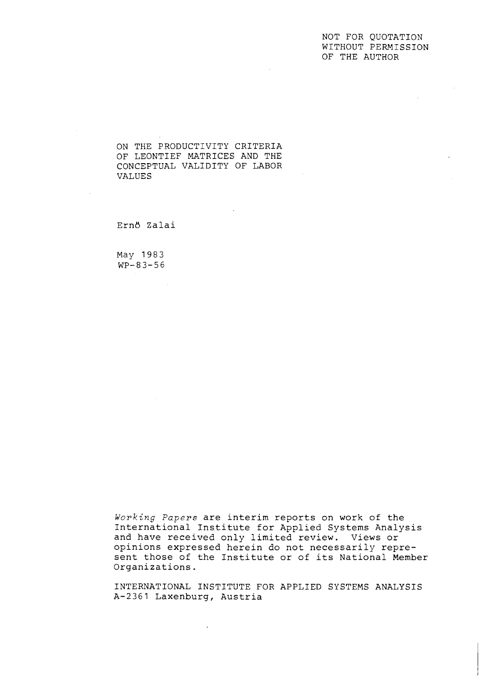#### NOT FOR QUOTATION WITHOUT PERMISSION OF THE AUTHOR

ON THE PRODUCTIVITY CRITERIA OF LEONTIEF MATRICES AND THE CONCEPTUAL VALIDITY OF LABOR VALUES

Ern6 Zalai

May 1983 WP-83-56

**Working** *Papers* are interim reports on work of the International Institute for Applied Systems Analysis and have received only limited review. Views or opinions expressed herein do not necessarily represent those of the Institute or of its National Member Organizations.

INTERNATIONAL INSTITUTE FOR APPLIED SYSTEMS ANALYSIS A-2361 Laxenburg, Austria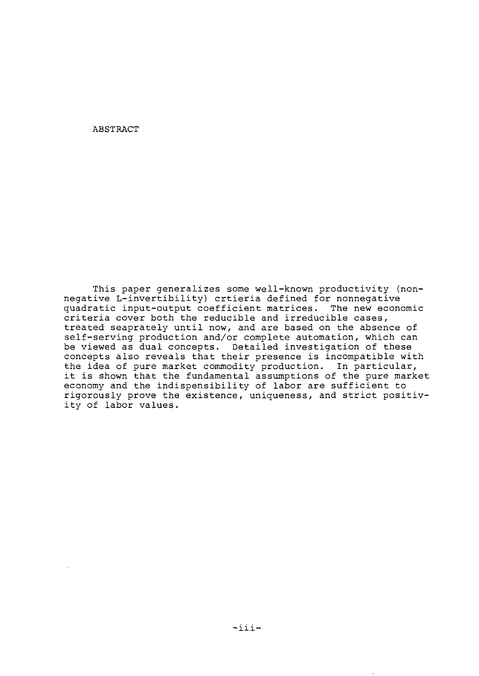ABSTRACT

This paper generalizes some well-known productivity (nonnegative L-invertibility) crtieria defined for nonnegative quadratic input-output coefficient matrices. The new economic criteria cover both the reducible and irreducible cases, treated seaprately until now, and are based on the absence of self-serving production and/or complete automation, which can be viewed as dual concepts. Detailed investigation of these concepts also reveals that their presence is incompatible with the idea of pure market commodity production. In particular, it is shown that the fundamental assumptions of the pure market economy and the indispensibility of labor are sufficient to rigorously prove the existence, uniqueness, and strict positivity of labor values.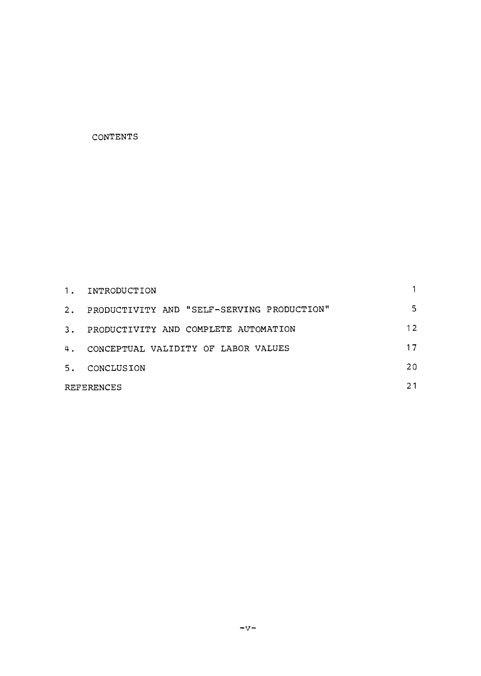#### CONTENTS

| 1.         | INTRODUCTION                               |    |
|------------|--------------------------------------------|----|
| 2.         | PRODUCTIVITY AND "SELF-SERVING PRODUCTION" | 5  |
| 3.         | PRODUCTIVITY AND COMPLETE AUTOMATION       | 12 |
| 4.         | CONCEPTUAL VALIDITY OF LABOR VALUES        | 17 |
| 5.         | CONCLUSION                                 | 20 |
| REFERENCES |                                            |    |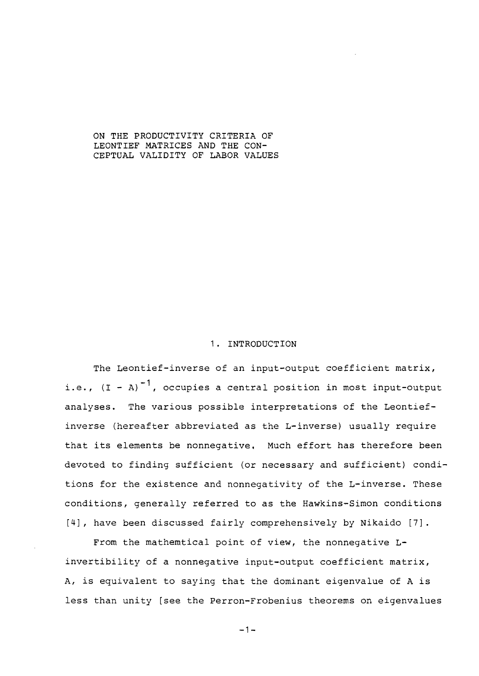ON THE PRODUCTIVITY CRITERIA OF LEONTIEF MATRICES AND THE CON-CEPTUAL VALIDITY OF LABOR VALUES

## 1. INTRODUCTION

The Leontief-inverse of an input-output coefficient matrix, i.e.,  $(I - A)^{-1}$ , occupies a central position in most input-output analyses. The various possible interpretations of the Leontiefinverse (hereafter abbreviated as the L-inverse) usually require that its elements be nonnegative, Much effort has therefore been devoted to finding sufficient (or necessary and sufficient) conditions for the existence and nonnegativity of the L-inverse. These conditions, generally referred to as the Hawkins-Simon conditions [4], have been discussed fairly comprehensively by Nikaido [7].

From the mathemtical point of view, the nonnegative Linvertibility of a nonnegative input-output coefficient matrix, A, is equivalent to saying that the dominant eigenvalue of A is less than unity [see the Perron-Frobenius theorems on eigenvalues

 $-1-$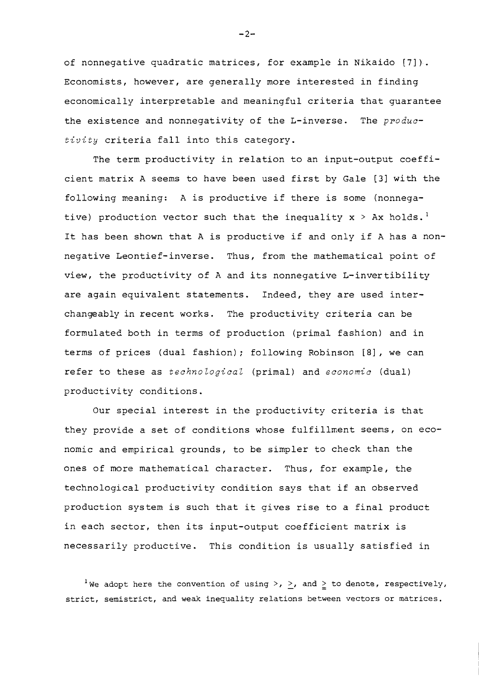of nonnegative quadratic matrices, for example in Nikaido **[7]).**  Economists, however, are generally more interested in finding economically interpretable and meaningful criteria that guarantee the existence and nonnegativity of the L-inverse. The *productivity* criteria fall into this category.

The term productivity in relation to an input-output coefficient matrix A seems to have been used first by Gale **[3]** with the following meaning: A is productive if there is some (nonnegative) production vector such that the inequality  $x > Ax$  holds.<sup>1</sup> It has been shown that A is productive if and only if A has a nonnegative Leontief-inverse. Thus, from the mathematical point of view, the productivity of A and its nonnegative L-invertibility are again equivalent statements. Indeed, they are used interchangeably in recent works. The productivity criteria can be formulated both in terms of production (primal fashion) and in terms of prices (dual fashion) ; following Robinson **[8]** , we can refer to these as *technological* (primal) and *economic* (dual) productivity conditions.

Our special interest in the productivity criteria is that they provide a set of conditions whose fulfillment seems, on economic and empirical grounds, to be simpler to check than the ones of more mathenatical character. Thus, for example, the technological productivity condition says that if an observed production system is such that it gives rise to a final product in each sector, then its input-output coefficient matrix is necessarily productive. This condition is usually satisfied in

<sup>1</sup>We adopt here the convention of using >, >, and  $\geq$  to denote, respectively, strict, semistrict, and weak inequality relations between vectors or matrices.

 $-2-$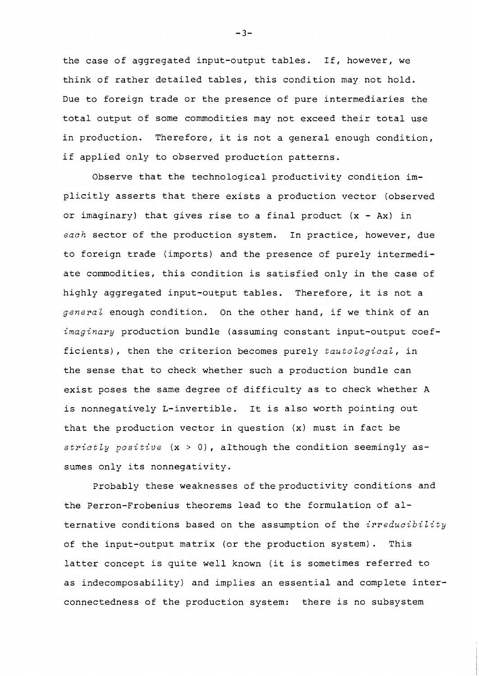the case of aggregated input-output tables. If, however, we think of rather detailed tables, this condition may not hold. Due to foreign trade or the presence of pure intermediaries the total output of some commodities may not exceed their total use in production. Therefore, it is not a general enough condition, if applied only to observed production patterns.

Observe that the technological productivity condition implicitly asserts that there exists a production vector (observed or imaginary) that gives rise to a final product **(x** - Ax) in each sector of the production system. In practice, however, due to foreign trade (imports) and the presence of purely intermediate commodities, this condition is satisfied only in the case of highly aggregated input-output tables. Therefore, it is not a general enough condition. On the other hand, if we think of an imaginary production bundle (assuming constant input-output coefficients), then the criterion becomes purely tautological, in the sense that to check whether such a production bundle can exist poses the same degree of difficulty as to check whether A is nonnegatively L-invertible. It is also worth pointing out that the production vector in question (x) must in fact be strictly positive (x > **O),** although the condition seemingly assumes only its nonnegativity.

Probably these weaknesses of the productivity conditions and the Perron-Frobenius theorems lead to the formulation of alternative conditions based on the assumption of the *irreducibility* of the input-output matrix (or the production system). This latter concept is quite well known (it is sometimes referred to as indecomposability) and implies an essential and complete interconnectedness of the production system: there is no subsystem

 $-3-$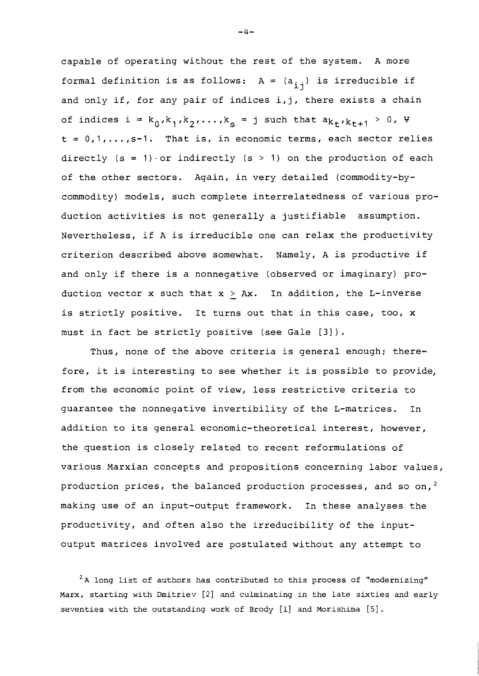capable of operating without the rest of the system. A more formal definition is as follows: A =  $(a_{i\,j})$  is irreducible if and only if, for any pair of indices i,j, there exists a chain of indices  $i = k_0, k_1, k_2, \ldots, k_s = j$  such that  $a_{k_1}, k_{k_1+1} > 0$ ,  $\forall$  $t = 0,1,..., s-1$ . That is, in economic terms, each sector relies directly  $(s = 1)$ -or indirectly  $(s > 1)$  on the production of each of the other sectors. Again, in very detailed (commodity-bycommodity) models, such complete interrelatedness of various production activities is not generally a justifiable assumption. Nevertheless, if A is irreducible one can relax the productivity criterion described above somewhat. Namely, A is productive if and only if there is a nonnegative (observed or imaginary) production vector x such that  $x > Ax$ . In addition, the L-inverse is strictly positive. It turns out that in this case, too, x must in fact be strictly positive (see Gale [31).

Thus, none of the above criteria is general enough; therefore, it is interesting to see whether it is possible to provide, from the economic point of view, less restrictive criteria to guarantee the nonnegative invertibility of the L-matrices. In addition to its general economic-theoretical interest, however, the question is closely related to recent reformulations of various Marxian concepts and propositions concerning labor values, production prices, the balanced production processes, and so on,<sup>2</sup> making use of an input-output framework. In these analyses the productivity, and often also the irreducibility of the inputoutput matrices involved are postulated without any attempt to

<sup>2</sup>A long list of authors has contributed to this process of "modernizing" Marx, starting with Dmitriev [2] and culminating in the late sixties and early seventies with the outstanding work of Brody [l] and Morishima [5].

 $-4-$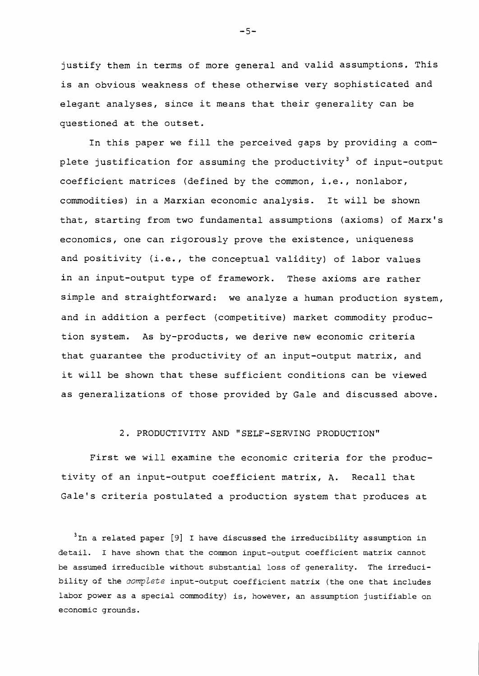justify them in terms of more general and valid assumptions. This is an obvious weakness of these otherwise very sophisticated and elegant analyses, since it means that their generality can be questioned at the outset.

In this paper we fill the perceived gaps by providing a complete justification for assuming the productivity<sup>3</sup> of input-output coefficient matrices (defined by the common, i.e., nonlabor, commodities) in a Marxian economic analysis. It will be shown that, starting from two fundamental assumptions (axioms) of Marx's economics, one can rigorously prove the existence, uniqueness and positivity (i.e,, the conceptual validity) of labor values in an input-output type of framework. These axioms are rather simple and straightforward: we analyze a human production system, and in addition a perfect (competitive) market commodity production system. As by-products, we derive new economic criteria that guarantee the productivity of an input-output matrix, and it will be shown that these sufficient conditions can be viewed as generalizations of those provided by Gale and discussed above.

# 2. PRODUCTIVITY AND "SELF-SERVING PRODUCTION"

First we will examine the economic criteria for the productivity of an input-output coefficient matrix, A. Recall that Gale's criteria postulated a production system that produces at

**3~n a related paper** [9] **I have discussed the irreducibility assumption in detail. I have shown that the common input-output coefficient matrix cannot be assumed irreducible without substantial loss of generality. The irreduci**bility of the *complete* input-output coefficient matrix (the one that includes **labor power as a special commodity) is, however, an assumption justifiable on economic grounds.** 

 $-5-$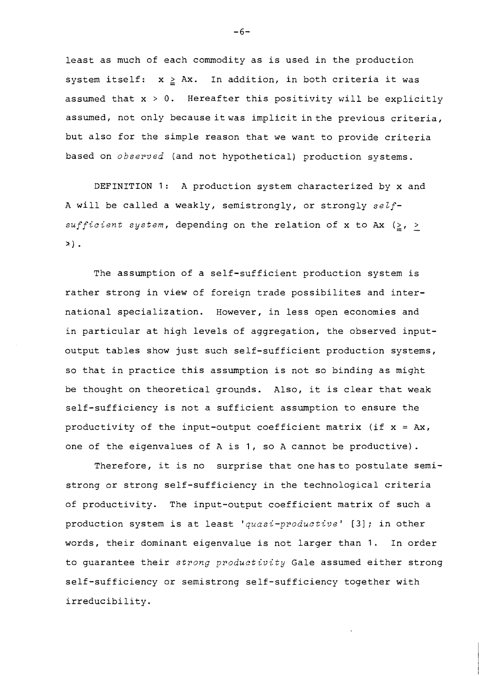least as much of each commodity as is used in the production system itself:  $x \geq Ax$ . In addition, in both criteria it was assumed that  $x > 0$ . Hereafter this positivity will be explicitly assumed, not only because itwas implicit inthe previous criteria, but also for the simple reason that we want to provide criteria based on observed (and not hypothetical) production systems.

DEFINITION 1: A production system characterized by x and A will be called a weakly, semistrongly, or strongly selfsufficient system, depending on the relation of x to Ax  $(\geq, >$ **s)** .

The assumption of a self-sufficient production system is rather strong in view of foreign trade possibilites and international specialization. However, in less open economies and in particular at high levels of aggregation, the observed inputoutput tables show just such self-sufficient production systems, so that in practice this assumption is not so binding as might be thought on theoretical grounds. Also, it is clear that weak self-sufficiency is not a sufficient assumption to ensure the productivity of the input-output coefficient matrix (if  $x = Ax$ , one of the eigenvalues of A is 1, so A cannot be productive).

Therefore, it is no surprise that one has to postulate semistrong or strong self-sufficiency in the technological criteria of productivity. The input-output coefficient matrix of such a production system is at least 'quasi-productive' *[3];* in other words, their dominant eigenvalue is not larger than 1. In order to guarantee their strong productivity Gale assumed either strong self-sufficiency or semistrong self-sufficiency together with irreducibility.

 $-6-$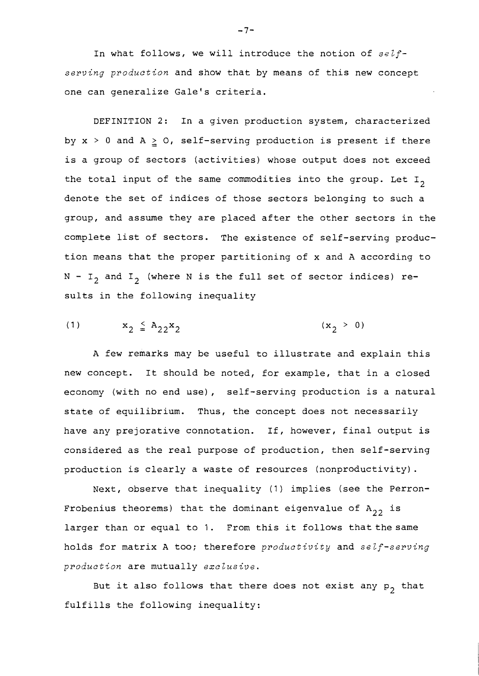In what follows, we will introduce the notion of  $self$ serving production and show that by means of this new concept one can generalize Gale's criteria.

DEFINITION 2: In a given production system, characterized by  $x > 0$  and  $A \ge 0$ , self-serving production is present if there is a group of sectors (activities) whose output does not exceed the total input of the same commodities into the group. Let  $I_2$ denote the set of indices of those sectors belonging to such a group, and assume they are placed after the other sectors in the complete list of sectors. The existence of self-serving production means that the proper partitioning of x and A according to  $N - I_2$  and  $I_2$  (where N is the full set of sector indices) results in the following inequality

(1) 
$$
x_2 \leq A_{22}x_2
$$
  $(x_2 > 0)$ 

A few remarks may be useful to illustrate and explain this new concept. It should be noted, for example, that in a closed economy (with no end use), self-serving production is a natural state of equilibrium. Thus, the concept does not necessarily have any prejorative connotation. If, however, final output is considered as the real purpose of production, then self-serving production is clearly a waste of resources (nonproductivity).

Next, observe that inequality (1) implies (see the Perron-Frobenius theorems) that the dominant eigenvalue of  $A_{22}$  is larger than or equal to 1. From this it follows that the same holds for matrix A too; therefore productivity and self-serving production are mutually exclusive.

But it also follows that there does not exist any  $p_2$  that fulfills the following inequality:

 $-7-$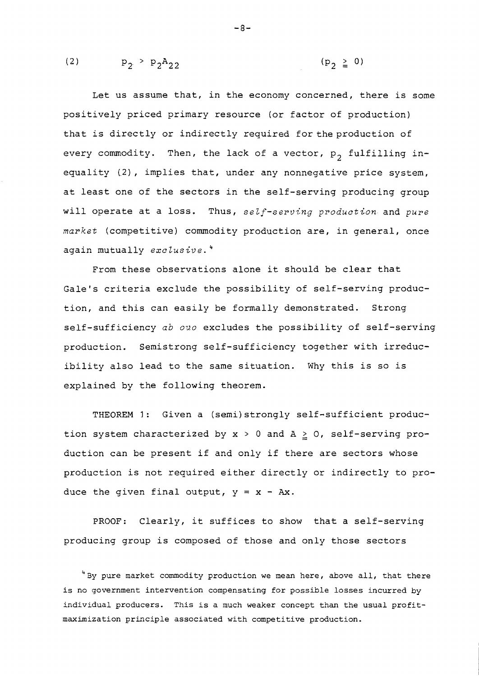(2) 
$$
p_2 > p_2 A_{22}
$$
 (p<sub>2</sub>  $\ge$  0)

Let us assume that, in the economy concerned, there is some positively priced primary resource (or factor of production) that is directly or indirectly required forthe production of every commodity. Then, the lack of a vector,  $p_2$  fulfilling inequality (2), implies that, under any nonnegative price system, at least one of the sectors in the self-serving producing group will operate at a loss, Thus, **self-serving production** and **pure market** (competitive) commodity production are, in general, once again mutually **exclusive.** <sup>4</sup>

 $-8-$ 

From these observations alone it should be clear that Gale's criteria exclude the possibility of self-serving production, and this can easily be formally demonstrated. Strong self-sufficiency ab **ouo** excludes the possibility of self-serving production. Semistrong self-sufficiency together with irreducibility also lead to the same situation. Why this is so is explained by the following theorem.

THEOREM **3:** Given a (semi)strongly self-sufficient production system characterized by  $x > 0$  and  $A \ge 0$ , self-serving production can be present if and only if there are sectors whose production is not required either directly or indirectly to produce the given final output,  $y = x - Ax$ .

PROOF: Clearly, it suffices to show that a self-serving producing group is composed of those and only those sectors

 $4$ By pure market commodity production we mean here, above all, that there is no government intervention compensating for possible losses incurred by individual producers. This is a much weaker concept than the usual profitmaximization principle associated with competitive production.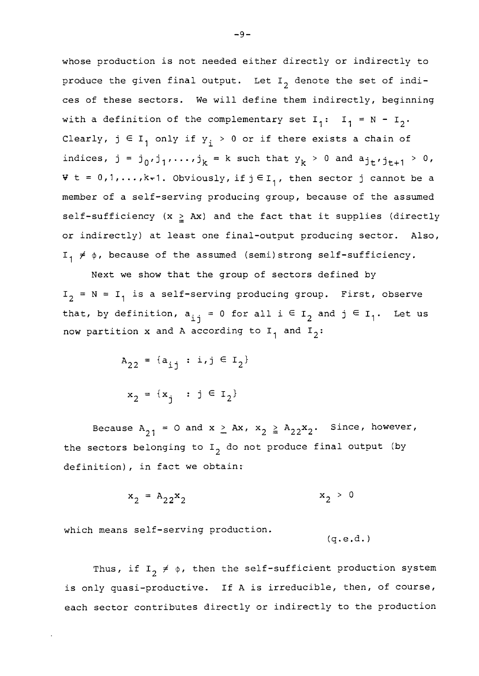whose production is not needed either directly or indirectly to produce the given final output. Let  $I_2$  denote the set of indices of these sectors. We will define them indirectly, beginning with a definition of the complementary set  $I_1: I_1 = N - I_2$ . Clearly,  $j \in I_1$  only if  $y_i > 0$  or if there exists a chain of indices,  $j = j_0, j_1, \ldots, j_k = k$  such that  $y_k > 0$  and  $a_{j_t}, j_{t+1} > 0$ ,  $\forall$  t = 0,1,..., k-1. Obviously, if  $j \in I_1$ , then sector j cannot be a member of a self-serving producing group, because of the assumed self-sufficiency  $(x \geq Ax)$  and the fact that it supplies (directly or indirectly) at least one final-output producing sector. Also,  $I_1 \neq \emptyset$ , because of the assumed (semi)strong self-sufficiency.

Next we show that the group of sectors defined by  $I_2$  = N =  $I_1$  is a self-serving producing group. First, observe that, by definition,  $a_{i,j} = 0$  for all  $i \in I_2$  and  $j \in I_1$ . Let us now partition x and A according to  $I_1$  and  $I_2$ :

> $A_{22} = \{a_{11} : i, j \in I_2\}$  $x_2 = \{x_i : j \in I_2\}$

Because  $A_{21} = 0$  and  $x \ge Ax$ ,  $x_2 \ge A_{22}x_2$ . Since, however, the sectors belonging to  $I_2$  do not produce final output (by definition), in fact we obtain:

$$
x_2 = A_{22}x_2 \qquad x_2 > 0
$$

which means self-serving production.

 $(q.e.d.)$ 

Thus, if  $I_2 \neq \phi$ , then the self-sufficient production system is only quasi-productive. If A is irreducible, then, of course, each sector contributes directly or indirectly to the production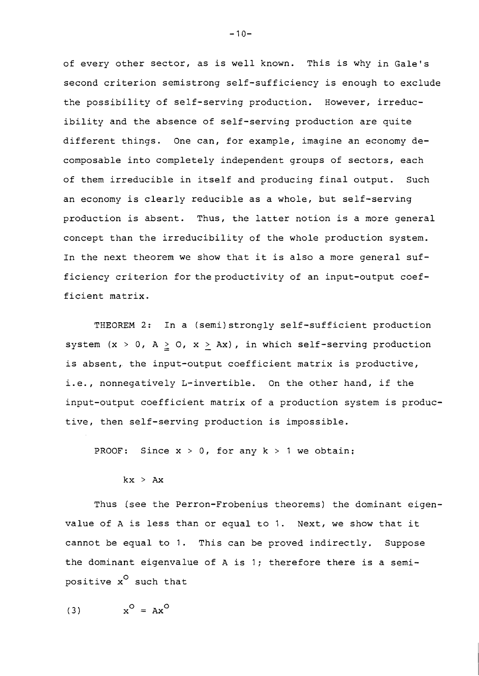of every other sector, as is well known. This is why in Gale's second criterion semistrong self-sufficiency is enough to exclude the possibility of self-serving production. However, irreducibility and the absence of self-serving production are quite different things. One can, for example, imagine an economy decomposable into completely independent groups of sectors, each of them irreducible in itself and producing final output. Such an economy is clearly reducible as a whole, but self-serving production is absent. Thus, the latter notion is a more general concept than the irreducibility of the whole production system. In the next theorem we show that it is also a more general sufficiency criterion for the productivity of an input-output coefficient matrix.

THEOREM 2: In a (semi)strongly self-sufficient production system  $(x > 0, A \ge 0, x > Ax)$ , in which self-serving production is absent, the input-output coefficient matrix is productive, i.e., nonnegatively L-invertible. On the other hand, if the input-output coefficient matrix of a production system is productive, then self-serving production is impossible.

PROOF: Since  $x > 0$ , for any  $k > 1$  we obtain:

#### $kx$  > Ax

Thus (see the Perron-Frobenius theorems) the dominant eigenvalue of A is less than or equal to 1. Next, we show that it cannot be equal to 1. This can be proved indirectly. Suppose the dominant eigenvalue of A is 1; therefore there is a semipositive  $x^O$  such that

$$
(3) \t xO = AxO
$$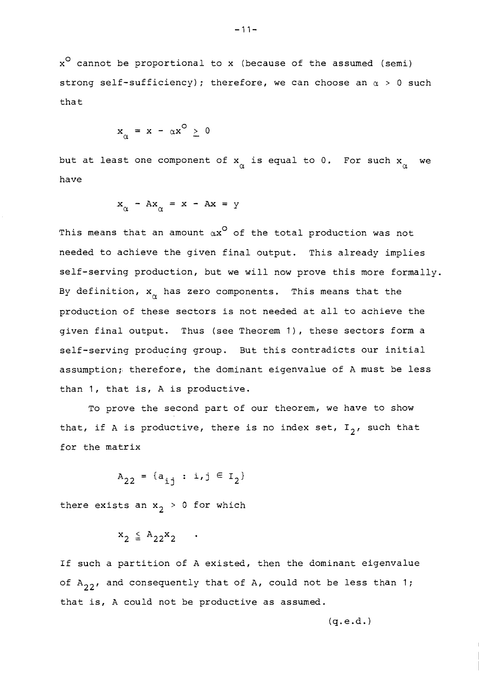$x^O$  cannot be proportional to x (because of the assumed (semi) strong self-sufficiency); therefore, we can choose an *a* > 0 such that

$$
x_{\alpha} = x - \alpha x^{\circ} \geq 0
$$

but at least one component of  $\mathsf{x}_{\alpha}^{\vphantom{\dagger}}$  is equal to 0. For such  $\mathsf{x}_{\alpha}^{\vphantom{\dagger}}$  we have

$$
x_{\alpha} - Ax_{\alpha} = x - Ax = y
$$

This means that an amount  $\alpha x^{\mathsf{O}}$  of the total production was not needed to achieve the given final output. This already implies self-serving production, but we will now prove this more formally. By definition,  $\mathbf{x}_{\alpha}^{}$  has zero components. This means that the production of these sectors is not needed at all to achieve the given final output. Thus (see Theorem I), these sectors form a self-serving producing group. But this contradicts our initial assumption; therefore, the dominant eigenvalue of A must be less than 1, that is, A is productive.

To prove the second part of our theorem, we have to show that, if A is productive, there is no index set,  $I_2$ , such that for the matrix

$$
A_{22} = \{a_{ij} : i, j \in I_2\}
$$

there exists an  $x_2 > 0$  for which

$$
x_2 \leq A_{22}x_2 \cdots
$$

If such a partition of A existed, then the dominant eigenvalue of  $A_{22}$ , and consequently that of A, could not be less than 1; that is, A could not be productive as assumed.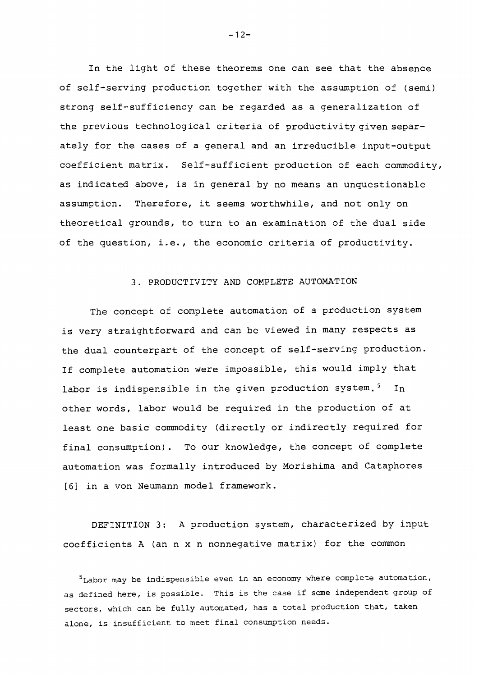In the light of these theorems one can see that the absence of self-serving production together with the assumption of (semi) strong self-sufficiency can be regarded as a generalization of the previous technological criteria of productivity given separately for the cases of a general and an irreducible input-output coefficient matrix. Self-sufficient production of each commodity, as indicated above, is in general by no means an unquestionable assumpticn. Therefore, it seems worthwhile, and not only on theoretical grounds, to turn to an examination of the dual side of the question, i.e., the economic criteria of productivity.

## 3. PRODUCTIVITY AND COMPLETE AUTOMATION

The concept of complete automation of a production system is very straightforward and can be viewed in many respects as the dual counterpart of the concept of self-serving production. If complete automation were impossible, this would imply that labor is indispensible in the given production system.<sup>5</sup> In other words, labor would be required in the production of at least one basic commodity (directly or indirectly required for final consumption). To our knowledge, the concept of complete automation was formally introduced by Morishima and Cataphores *[6]* in a von Neumann model framework.

DEFINITION 3: A production system, characterized by input coefficients A (an n x n nonnegative matrix) for the common

 $<sup>5</sup>$ Labor may be indispensible even in an economy where complete automation,</sup> as defined here, is possible. This is the case if some independent group of sectors, which can be fully automated, has a total production that, taken alone, is insufficient to meet final consumption needs.

 $-12-$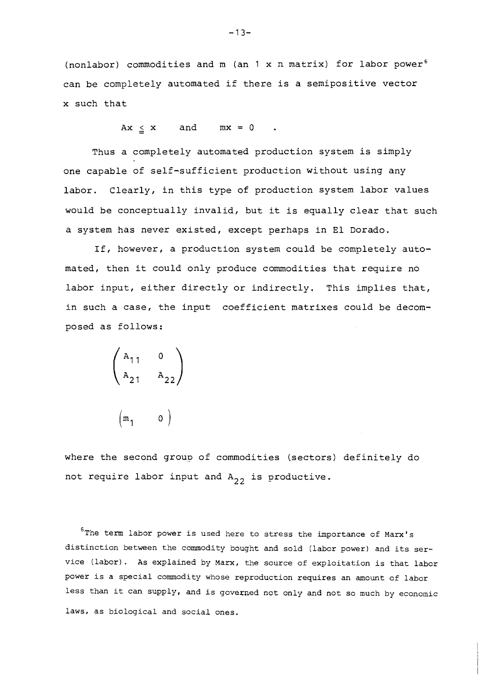(nonlabor) commodities and m (an 1 x n matrix) for labor power<sup>6</sup> can be completely automated if there is a semipositive vector x such that

 $Ax \leq x$  and  $mx = 0$  .

Thus a completely automated production system is simply one capable of self-sufficient production without using any labor. Clearly, in this type of production system labor values would be conceptually invalid, but it is equally clear that such a system has never existed, except perhaps in El Dorado.

If, however, a production system could be completely automated, then it could only produce commodities that require no labor input, either directly or indirectly. This implies that, in such a case, the input coefficient matrixes could be decomposed as follows:

$$
\begin{pmatrix} a_{11} & 0 \\ a_{21} & a_{22} \end{pmatrix}
$$

$$
\begin{pmatrix} m_1 & 0 \end{pmatrix}
$$

where the second group of commodities (sectors) definitely do not require labor input and  $A_{22}$  is productive.

 $6$ The term labor power is used here to stress the importance of Marx's distinction between the commodity bought and sold (labor power) and its service (labor). As explained by Marx, the source of exploitation is that labor power is a special commodity whose reproduction requires an amount of labor less than it can supply, and is governed not only and not so much by economic laws, as biological and social ones.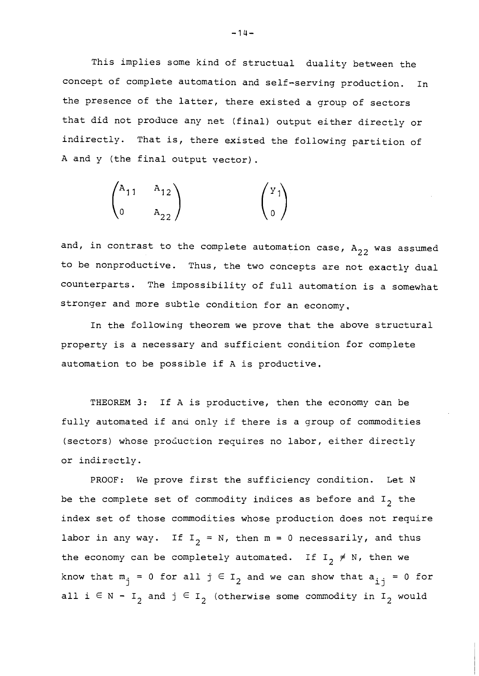This implies some kind of structual duality between the concept of complete automation and self-serving production. In the presence of the latter, there existed a group of sectors that did not produce any net (final) output either directly or indirectly. That is, there existed the following partition of A and y (the final output vector) .

$$
\begin{pmatrix}\nA_{11} & A_{12} \\
0 & A_{22}\n\end{pmatrix}\n\qquad \qquad\n\begin{pmatrix}\nY_1 \\
0\n\end{pmatrix}
$$

and, in contrast to the complete automation case,  $A_{22}$  was assumed to be nonproductive. Thus, the two concepts are not exactly dual counterparts. The impossibility of full automation is a somewhat stronger and more subtle condition for an economy,

In the following theorem we prove that the above structural property is a necessary and sufficient condition for comglete automation to be possible if A is productive.

THEOREM 3: If A is productive, then the economy can be fully automated if and only if there is a group of commodities (sectors) whose production requires no labor, either directly or indirectly.

PROOF: We prove first the sufficiency condition. Let N be the complete set of commodity indices as before and  $I<sub>2</sub>$  the index set of those commodities whose production does not require labor in any way. If  $I_2 = N$ , then  $m = 0$  necessarily, and thus the economy can be completely automated. If  $I_2 \neq N$ , then we know that  $m_i = 0$  for all  $j \in I_2$  and we can show that  $a_{i,i} = 0$  for all  $i \in N - I_2$  and  $j \in I_2$  (otherwise some commodity in  $I_2$  would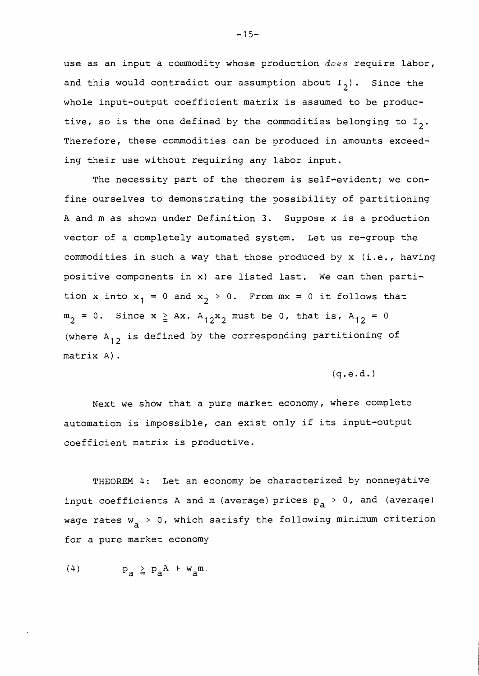use as an input a commodity whose production does require labor, and this would contradict our assumption about  $I_2$ ). Since the whole input-output coefficient matrix is assumed to be productive, so is the one defined by the commodities belonging to  $I_2$ . Therefore, these commodities can be produced in amounts exceeding their use without requiring any labor input.

The necessity part of the theorem is self-evident; we confine ourselves to demonstrating the possibility of partitioning A and m as shown under Definition 3. Suppose x is a production vector of a completely automated system. Let us re-group the commodities in such a way that those produced by x (i.e., having positive components in x) are listed last, We can then partition x into  $x_1 = 0$  and  $x_2 > 0$ . From  $mx = 0$  it follows that  $m_2 = 0$ . Since  $x \geq Ax$ ,  $A_{12}x_2$  must be 0, that is,  $A_{12} = 0$ (where  $A_{12}$  is defined by the corresponding partitioning of matrix A) .

#### $(q.e.d.)$

Next we show that a pure market economy, where complete automation is impossible, can exist only if its input-output coefficient matrix is productive.

THEOREM 4: Let an economy be characterized by nonnegative input coefficients A and m (average) prices  $p_a > 0$ , and (average) wage rates  $w_a > 0$ , which satisfy the following minimum criterion for a pure market economy

$$
(4) \t\t\t p_a \ge p_a^A + w_a^m.
$$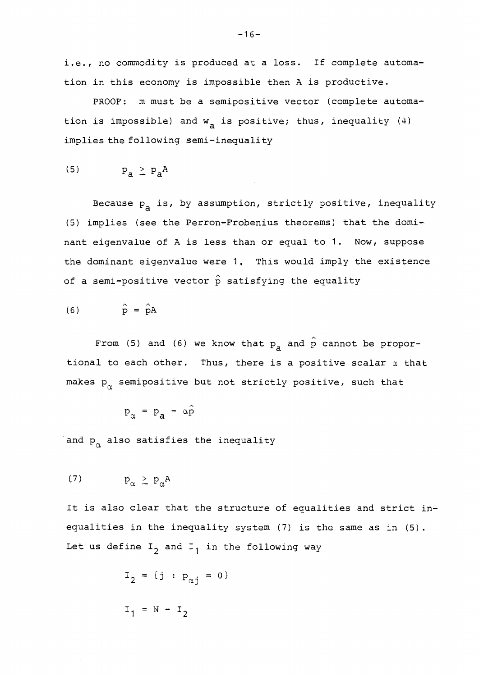i.e., no commodity is produced at a loss. If complete automation in this economy is impossible then A is productive.

PROOF: m must be a semipositive vector (complete automation is impossible) and  $w_a$  is positive; thus, inequality (4) implies the following semi-inequality

$$
(5) \t\t\t p_a \ge p_a^A
$$

Because  $p_a$  is, by assumption, strictly positive, inequality (5) implies (see the Perron-Frobenius theorems) that the dominant eigenvalue of A is less than or equal to 1. Now, suppose the dominant eigenvalue were 1. This would imply the existence of a semi-positive vector  $\hat{p}$  satisfying the equality

$$
\hat{p} = \hat{p}A
$$

From (5) and (6) we know that  $p_a$  and  $\hat{p}$  cannot be proportional to each other. Thus, there is a positive scalar  $\alpha$  that makes  $p_{\alpha}^{\phantom{\dagger}}$  semipositive but not strictly positive, such that

$$
p_{\alpha} = p_{a} - \alpha \hat{p}
$$

and  $p_{\alpha}$  also satisfies the inequality

It is also clear that the structure of equalities and strict inequalities in the inequality system (7) is the same as in (5). Let us define  $I_2$  and  $I_1$  in the following way

$$
I_2 = \{j : p_{\alpha j} = 0\}
$$
  
 $I_1 = N - I_2$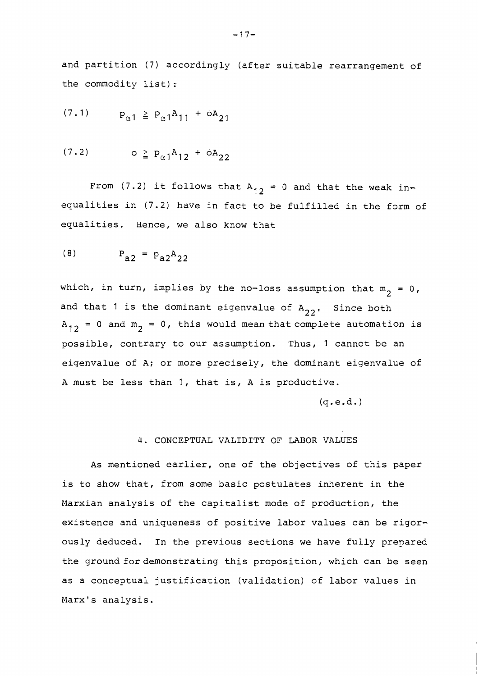and partition (7) accordingly (after suitable rearrangement of the commodity list) :.

$$
(7.1) \t\t\t $p_{\alpha 1} \ge p_{\alpha 1} A_{11} + \delta A_{21}$
$$

$$
(7.2) \qquad \qquad \circ \geq P_{\alpha 1} A_{12} + \circ A_{22}
$$

From (7.2) it follows that A<sub>12</sub> = 0 and that the weak inequalities in (7.2) have in fact to be fulfilled in the form of equalities. Hence, we also know that

$$
P_{a2} = P_{a2}A_{22}
$$

which, in turn, implies by the no-loss assumption that  $m_2 = 0$ , and that 1 is the dominant eigenvalue of  $A_{22}$ , Since both  $A_{12} = 0$  and  $m_2 = 0$ , this would mean that complete automation is possible, contrary to our assumption. Thus, 1 cannot be an eigenvalue of A; or more precisely, the dominant eigenvalue of A must be less than I, that is, A is productive.

 $(a.e.d.)$ 

# 4. CONCEPTUAL VALIDITY OF LABOR VALUES

As mentioned earlier, one of the objectives of this paper is to show that, from some basic postulates inherent in the Marxian analysis of the capitalist mode of production, the existence and uniqueness of positive labor values can be rigorously deduced. In the previous sections we have fully prepared the ground for demonstrating this proposition, which can be seen as a conceptual justification (validation) of labor values in Marx's analysis.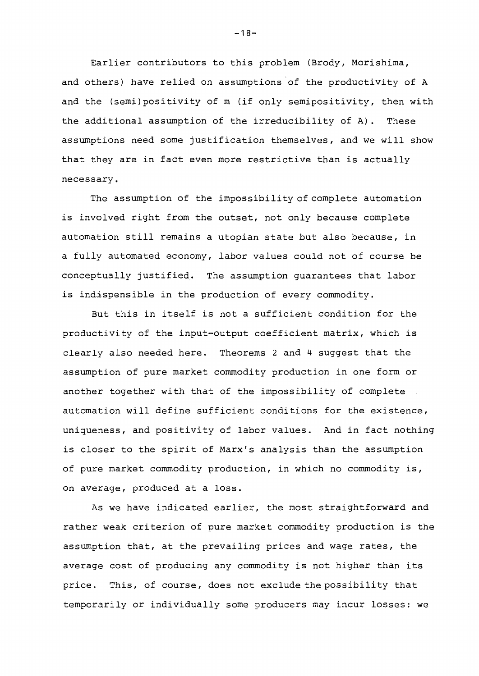Earlier contributors to this problem (Brody, Morishima, and others) have relied on assumptions of the productivity of A and the (semi)positivity of m (if only semipositivity, then with the additional assumption of the irreducibility of A). These assumptions need some justification themselves, and we will show that they are in fact even more restrictive than is actually necessary.

The assumption of the impossibility of complete automation is involved right from the outset, not only because complete automation still remains a utopian state but also because, in a fully automated economy, labor values could not of course be conceptually justified. The assumption guarantees that labor is indispensible in the production of every commodity.

But this in itself is not a sufficient condition for the productivity of the input-output coefficient matrix, which is clearly also needed here. Theorems 2 and 4 suggest that the assumption of pure market commodity production in one form or another together with that of the impossibility of complete automation will define sufficient conditions for the existence, uniqueness, and positivity of labor values. And in fact nothing is closer to the spirit of Marx's analysis than the assumption of pure market commodity production, in which no commodity is, on average, produced at a loss.

As we have indicated earlier, the most straightforward and rather weak criterion of pure market commodity production is the assumption that, at the prevailing prices and wage rates, the average cost of producing any commodity is not higher than its price. This, of course, does not exclude the possibility that temporarily or individually some producers nay incur losses: we

 $-18-$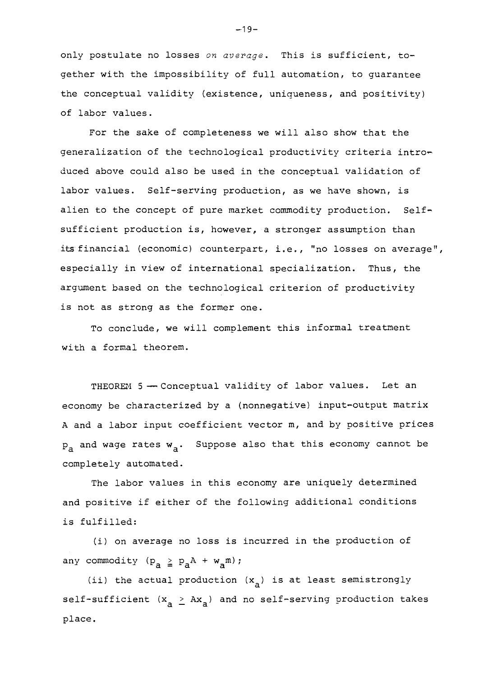only postulate no losses on *average.* This is sufficient, together with the impossibility of full automation, to guarantee the conceptual validity (existence, uniqueness, and positivity) of labor values.

For the sake of completeness we will also show that the generalization of the technological productivity criteria introduced above could also be used in the conceptual validation of labor values. Self-serving production, as we have shown, is alien to the concept of pure market commodity production. Selfsufficient production is, however, a stronger assumption than its financial (economic) counterpart, i,e., "no losses on average", especially in view of international specialization. Thus, the argument based on the technological criterion of productivity is not as strong as the former one.

To conclude, we will complement this informal treatment with a formal theorem.

THEOREM 5 - Conceptual validity of labor values. Let an economy be characterized by a (nonnegative) input-output matrix A and a labor input coefficient vector m, and by positive prices  $p_a$  and wage rates  $w_a$ . Suppose also that this economy cannot be completely automated.

The labor values in this economy are uniquely determined and positive if either of the following additional conditions is fulfilled:

(i) on average no loss is incurred in the production of any commodity  $(p_a \ge p_a A + w_a m)$ ;

(ii) the actual production  $(x_a)$  is at least semistrongly self-sufficient  $(x_a > Ax_a)$  and no self-serving production takes place.

 $-19-$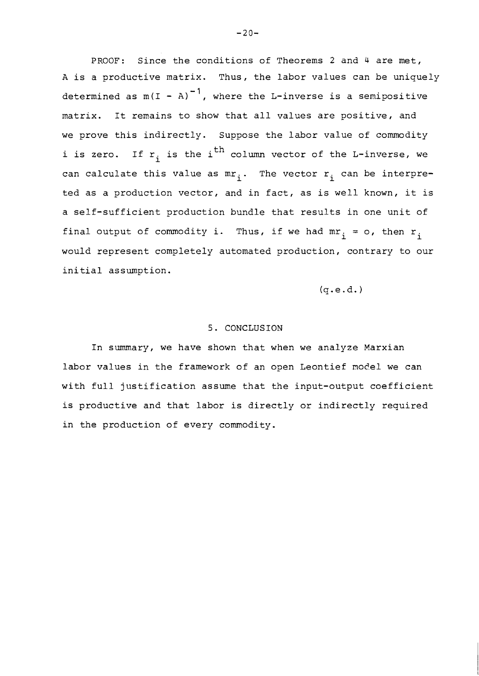PROOF: Since the conditions of Theorems 2 and 4 are met, A is a productive matrix. Thus, the labor values can be uniquely determined as  $m(I - A)^{-1}$ , where the L-inverse is a semipositive matrix. It renains to show that all values are positive, and we prove this indirectly. Suppose the labor value of commodity i is zero. If  $r_i$  is the i<sup>th</sup> column vector of the L-inverse, we can calculate this value as  $mr_i$ . The vector  $r_i$  can be interpreted as a production vector, and in fact, as is well known, it is a self-sufficient production bundle that results in one unit of final output of commodity i. Thus, if we had  $mr_i = o$ , then  $r_i$ would represent completely automated production, contrary to our initial assumption.

 $(q.e.d.)$ 

#### 5. CONCLUSION

In summary, we have shown that when we analyze Marxian labor values in the framework of an open Leontief model we can with full justification assume that the input-output coefficient is productive and that labor is directly or indirectly required in the production of every commodity.